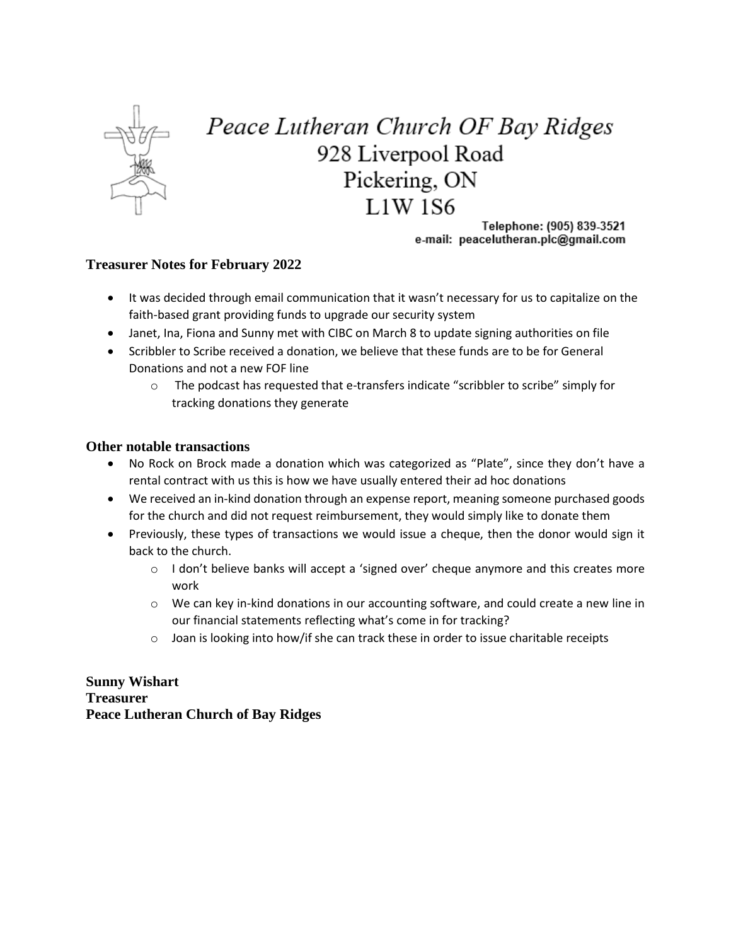

## Peace Lutheran Church OF Bay Ridges 928 Liverpool Road Pickering, ON  $L1W$  1S6

Telephone: (905) 839-3521 e-mail: peacelutheran.plc@gmail.com

## **Treasurer Notes for February 2022**

- It was decided through email communication that it wasn't necessary for us to capitalize on the faith-based grant providing funds to upgrade our security system
- Janet, Ina, Fiona and Sunny met with CIBC on March 8 to update signing authorities on file
- Scribbler to Scribe received a donation, we believe that these funds are to be for General Donations and not a new FOF line
	- o The podcast has requested that e-transfers indicate "scribbler to scribe" simply for tracking donations they generate

## **Other notable transactions**

- No Rock on Brock made a donation which was categorized as "Plate", since they don't have a rental contract with us this is how we have usually entered their ad hoc donations
- We received an in-kind donation through an expense report, meaning someone purchased goods for the church and did not request reimbursement, they would simply like to donate them
- Previously, these types of transactions we would issue a cheque, then the donor would sign it back to the church.
	- $\circ$  I don't believe banks will accept a 'signed over' cheque anymore and this creates more work
	- o We can key in-kind donations in our accounting software, and could create a new line in our financial statements reflecting what's come in for tracking?
	- $\circ$  Joan is looking into how/if she can track these in order to issue charitable receipts

**Sunny Wishart Treasurer Peace Lutheran Church of Bay Ridges**